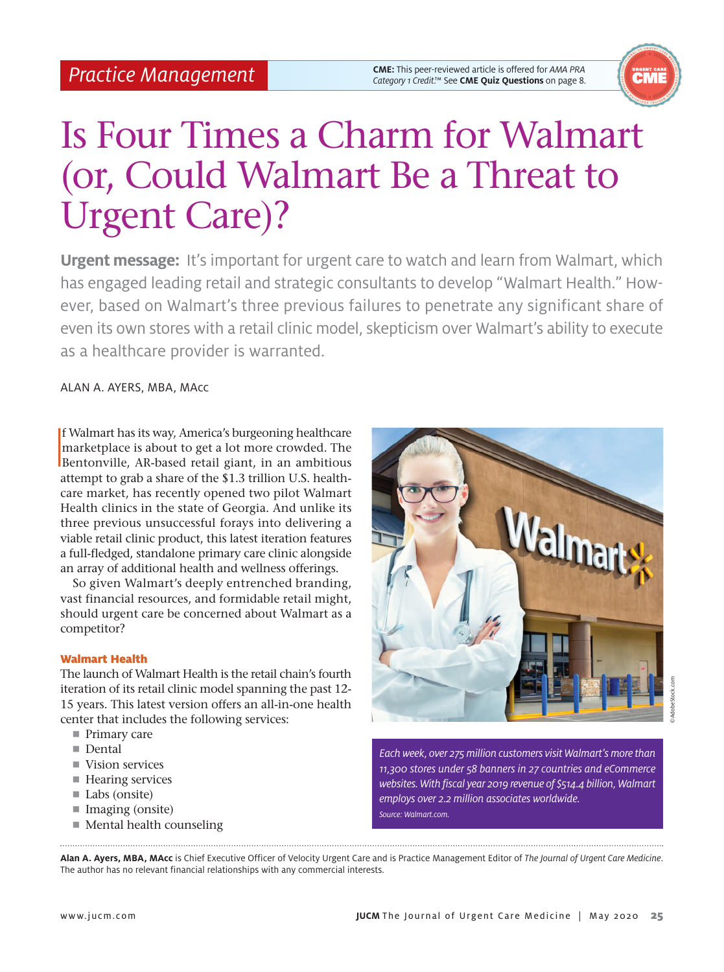**CME:** This peer-reviewed article is offered for *AMA PRA Practice Management Category 1 Credit.*™ See **CME Quiz Questions** on page 8.



# Is Four Times a Charm for Walmart (or, Could Walmart Be a Threat to Urgent Care)?

**Urgent message:** It's important for urgent care to watch and learn from Walmart, which has engaged leading retail and strategic consultants to develop "Walmart Health." However, based on Walmart's three previous failures to penetrate any significant share of even its own stores with a retail clinic model, skepticism over Walmart's ability to execute as a healthcare provider is warranted.

ALAN A. AYERS, MBA, MAcc

I f Walmart has its way, America's burgeoning healthcare marketplace is about to get a lot more crowded. The Bentonville, AR-based retail giant, in an ambitious attempt to grab a share of the \$1.3 trillion U.S. healthcare market, has recently opened two pilot Walmart Health clinics in the state of Georgia. And unlike its three previous unsuccessful forays into delivering a viable retail clinic product, this latest iteration features a full-fledged, standalone primary care clinic alongside an array of additional health and wellness offerings.

So given Walmart's deeply entrenched branding, vast financial resources, and formidable retail might, should urgent care be concerned about Walmart as a competitor?

# Walmart Health

The launch of Walmart Health is the retail chain's fourth iteration of its retail clinic model spanning the past 12- 15 years. This latest version offers an all-in-one health center that includes the following services:

- Primary care
- Dental
- Vision services
- Hearing services
- Labs (onsite)
- Imaging (onsite)
- Mental health counseling



*Each week, over 275 million customers visit Walmart's more than 11,300 stores under 58 banners in 27 countries and eCommerce websites. With fiscal year 2019 revenue of \$514.4 billion, Walmart employs over 2.2 million associates worldwide. Source: Walmart.com.*

**Alan A. Ayers, MBA, MAcc** is Chief Executive Officer of Velocity Urgent Care and is Practice Management Editor of *The Journal of Urgent Care Medicine*. The author has no relevant financial relationships with any commercial interests.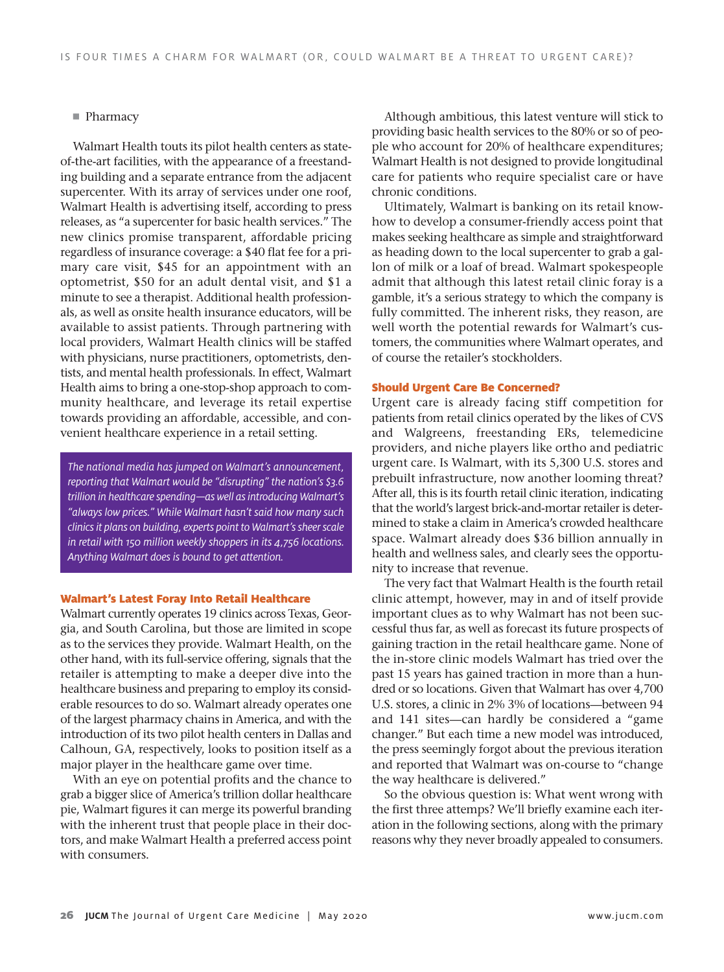## **Pharmacy**

Walmart Health touts its pilot health centers as stateof-the-art facilities, with the appearance of a freestanding building and a separate entrance from the adjacent supercenter. With its array of services under one roof, Walmart Health is advertising itself, according to press releases, as "a supercenter for basic health services." The new clinics promise transparent, affordable pricing regardless of insurance coverage: a \$40 flat fee for a primary care visit, \$45 for an appointment with an optometrist, \$50 for an adult dental visit, and \$1 a minute to see a therapist. Additional health professionals, as well as onsite health insurance educators, will be available to assist patients. Through partnering with local providers, Walmart Health clinics will be staffed with physicians, nurse practitioners, optometrists, dentists, and mental health professionals. In effect, Walmart Health aims to bring a one-stop-shop approach to community healthcare, and leverage its retail expertise towards providing an affordable, accessible, and convenient healthcare experience in a retail setting.

*The national media has jumped on Walmart's announcement, reporting that Walmart would be "disrupting" the nation's \$3.6 trillion in healthcare spending—as well as introducing Walmart's "always low prices." While Walmart hasn't said how many such clinics it plans on building, experts point to Walmart's sheer scale in retail with 150 million weekly shoppers in its 4,756 locations. Anything Walmart does is bound to get attention.*

#### Walmart's Latest Foray Into Retail Healthcare

Walmart currently operates 19 clinics across Texas, Georgia, and South Carolina, but those are limited in scope as to the services they provide. Walmart Health, on the other hand, with its full-service offering, signals that the retailer is attempting to make a deeper dive into the healthcare business and preparing to employ its considerable resources to do so. Walmart already operates one of the largest pharmacy chains in America, and with the introduction of its two pilot health centers in Dallas and Calhoun, GA, respectively, looks to position itself as a major player in the healthcare game over time.

With an eye on potential profits and the chance to grab a bigger slice of America's trillion dollar healthcare pie, Walmart figures it can merge its powerful branding with the inherent trust that people place in their doctors, and make Walmart Health a preferred access point with consumers.

Although ambitious, this latest venture will stick to providing basic health services to the 80% or so of people who account for 20% of healthcare expenditures; Walmart Health is not designed to provide longitudinal care for patients who require specialist care or have chronic conditions.

Ultimately, Walmart is banking on its retail knowhow to develop a consumer-friendly access point that makes seeking healthcare as simple and straightforward as heading down to the local supercenter to grab a gallon of milk or a loaf of bread. Walmart spokespeople admit that although this latest retail clinic foray is a gamble, it's a serious strategy to which the company is fully committed. The inherent risks, they reason, are well worth the potential rewards for Walmart's customers, the communities where Walmart operates, and of course the retailer's stockholders.

## Should Urgent Care Be Concerned?

Urgent care is already facing stiff competition for patients from retail clinics operated by the likes of CVS and Walgreens, freestanding ERs, telemedicine providers, and niche players like ortho and pediatric urgent care. Is Walmart, with its 5,300 U.S. stores and prebuilt infrastructure, now another looming threat? After all, this is its fourth retail clinic iteration, indicating that the world's largest brick-and-mortar retailer is determined to stake a claim in America's crowded healthcare space. Walmart already does \$36 billion annually in health and wellness sales, and clearly sees the opportunity to increase that revenue.

The very fact that Walmart Health is the fourth retail clinic attempt, however, may in and of itself provide important clues as to why Walmart has not been successful thus far, as well as forecast its future prospects of gaining traction in the retail healthcare game. None of the in-store clinic models Walmart has tried over the past 15 years has gained traction in more than a hundred or so locations. Given that Walmart has over 4,700 U.S. stores, a clinic in 2% 3% of locations—between 94 and 141 sites—can hardly be considered a "game changer." But each time a new model was introduced, the press seemingly forgot about the previous iteration and reported that Walmart was on-course to "change the way healthcare is delivered."

So the obvious question is: What went wrong with the first three attemps? We'll briefly examine each iteration in the following sections, along with the primary reasons why they never broadly appealed to consumers.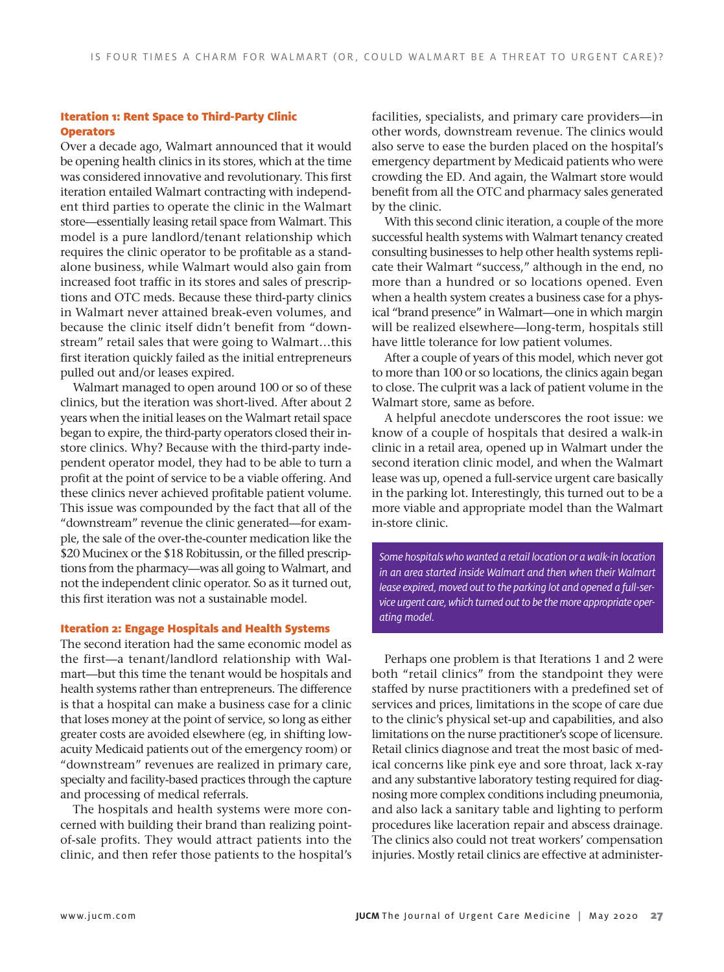# Iteration 1: Rent Space to Third-Party Clinic **Operators**

Over a decade ago, Walmart announced that it would be opening health clinics in its stores, which at the time was considered innovative and revolutionary. This first iteration entailed Walmart contracting with independent third parties to operate the clinic in the Walmart store—essentially leasing retail space from Walmart. This model is a pure landlord/tenant relationship which requires the clinic operator to be profitable as a standalone business, while Walmart would also gain from increased foot traffic in its stores and sales of prescriptions and OTC meds. Because these third-party clinics in Walmart never attained break-even volumes, and because the clinic itself didn't benefit from "downstream" retail sales that were going to Walmart…this first iteration quickly failed as the initial entrepreneurs pulled out and/or leases expired.

Walmart managed to open around 100 or so of these clinics, but the iteration was short-lived. After about 2 years when the initial leases on the Walmart retail space began to expire, the third-party operators closed their instore clinics. Why? Because with the third-party independent operator model, they had to be able to turn a profit at the point of service to be a viable offering. And these clinics never achieved profitable patient volume. This issue was compounded by the fact that all of the "downstream" revenue the clinic generated—for example, the sale of the over-the-counter medication like the \$20 Mucinex or the \$18 Robitussin, or the filled prescriptions from the pharmacy—was all going to Walmart, and not the independent clinic operator. So as it turned out, this first iteration was not a sustainable model.

#### Iteration 2: Engage Hospitals and Health Systems

The second iteration had the same economic model as the first—a tenant/landlord relationship with Walmart—but this time the tenant would be hospitals and health systems rather than entrepreneurs. The difference is that a hospital can make a business case for a clinic that loses money at the point of service, so long as either greater costs are avoided elsewhere (eg, in shifting lowacuity Medicaid patients out of the emergency room) or "downstream" revenues are realized in primary care, specialty and facility-based practices through the capture and processing of medical referrals.

The hospitals and health systems were more concerned with building their brand than realizing pointof-sale profits. They would attract patients into the clinic, and then refer those patients to the hospital's facilities, specialists, and primary care providers—in other words, downstream revenue. The clinics would also serve to ease the burden placed on the hospital's emergency department by Medicaid patients who were crowding the ED. And again, the Walmart store would benefit from all the OTC and pharmacy sales generated by the clinic.

With this second clinic iteration, a couple of the more successful health systems with Walmart tenancy created consulting businesses to help other health systems replicate their Walmart "success," although in the end, no more than a hundred or so locations opened. Even when a health system creates a business case for a physical "brand presence" in Walmart—one in which margin will be realized elsewhere—long-term, hospitals still have little tolerance for low patient volumes.

After a couple of years of this model, which never got to more than 100 or so locations, the clinics again began to close. The culprit was a lack of patient volume in the Walmart store, same as before.

A helpful anecdote underscores the root issue: we know of a couple of hospitals that desired a walk-in clinic in a retail area, opened up in Walmart under the second iteration clinic model, and when the Walmart lease was up, opened a full-service urgent care basically in the parking lot. Interestingly, this turned out to be a more viable and appropriate model than the Walmart in-store clinic.

*Some hospitals who wanted a retail location or a walk-in location in an area started inside Walmart and then when their Walmart lease expired, moved out to the parking lot and opened a full-service urgent care, which turned out to be the more appropriate operating model.*

Perhaps one problem is that Iterations 1 and 2 were both "retail clinics" from the standpoint they were staffed by nurse practitioners with a predefined set of services and prices, limitations in the scope of care due to the clinic's physical set-up and capabilities, and also limitations on the nurse practitioner's scope of licensure. Retail clinics diagnose and treat the most basic of medical concerns like pink eye and sore throat, lack x-ray and any substantive laboratory testing required for diagnosing more complex conditions including pneumonia, and also lack a sanitary table and lighting to perform procedures like laceration repair and abscess drainage. The clinics also could not treat workers' compensation injuries. Mostly retail clinics are effective at administer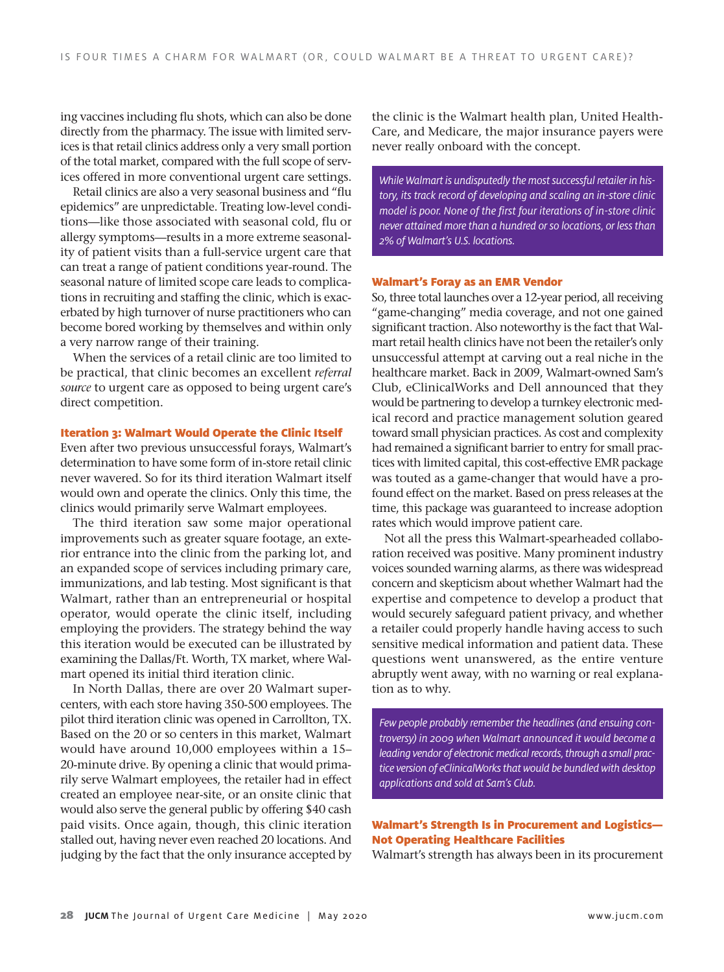ing vaccines including flu shots, which can also be done directly from the pharmacy. The issue with limited services is that retail clinics address only a very small portion of the total market, compared with the full scope of services offered in more conventional urgent care settings.

Retail clinics are also a very seasonal business and "flu epidemics" are unpredictable. Treating low-level conditions—like those associated with seasonal cold, flu or allergy symptoms—results in a more extreme seasonality of patient visits than a full-service urgent care that can treat a range of patient conditions year-round. The seasonal nature of limited scope care leads to complications in recruiting and staffing the clinic, which is exacerbated by high turnover of nurse practitioners who can become bored working by themselves and within only a very narrow range of their training.

When the services of a retail clinic are too limited to be practical, that clinic becomes an excellent *referral source* to urgent care as opposed to being urgent care's direct competition.

#### Iteration 3: Walmart Would Operate the Clinic Itself

Even after two previous unsuccessful forays, Walmart's determination to have some form of in-store retail clinic never wavered. So for its third iteration Walmart itself would own and operate the clinics. Only this time, the clinics would primarily serve Walmart employees.

The third iteration saw some major operational improvements such as greater square footage, an exterior entrance into the clinic from the parking lot, and an expanded scope of services including primary care, immunizations, and lab testing. Most significant is that Walmart, rather than an entrepreneurial or hospital operator, would operate the clinic itself, including employing the providers. The strategy behind the way this iteration would be executed can be illustrated by examining the Dallas/Ft. Worth, TX market, where Walmart opened its initial third iteration clinic.

In North Dallas, there are over 20 Walmart supercenters, with each store having 350-500 employees. The pilot third iteration clinic was opened in Carrollton, TX. Based on the 20 or so centers in this market, Walmart would have around 10,000 employees within a 15– 20-minute drive. By opening a clinic that would primarily serve Walmart employees, the retailer had in effect created an employee near-site, or an onsite clinic that would also serve the general public by offering \$40 cash paid visits. Once again, though, this clinic iteration stalled out, having never even reached 20 locations. And judging by the fact that the only insurance accepted by

the clinic is the Walmart health plan, United Health-Care, and Medicare, the major insurance payers were never really onboard with the concept.

*While Walmart is undisputedly the most successful retailer in history, its track record of developing and scaling an in-store clinic model is poor. None of the first four iterations of in-store clinic never attained more than a hundred or so locations, or less than 2% of Walmart's U.S. locations.* 

### Walmart's Foray as an EMR Vendor

So, three total launches over a 12-year period, all receiving "game-changing" media coverage, and not one gained significant traction. Also noteworthy is the fact that Walmart retail health clinics have not been the retailer's only unsuccessful attempt at carving out a real niche in the healthcare market. Back in 2009, Walmart-owned Sam's Club, eClinicalWorks and Dell announced that they would be partnering to develop a turnkey electronic medical record and practice management solution geared toward small physician practices. As cost and complexity had remained a significant barrier to entry for small practices with limited capital, this cost-effective EMR package was touted as a game-changer that would have a profound effect on the market. Based on press releases at the time, this package was guaranteed to increase adoption rates which would improve patient care.

Not all the press this Walmart-spearheaded collaboration received was positive. Many prominent industry voices sounded warning alarms, as there was widespread concern and skepticism about whether Walmart had the expertise and competence to develop a product that would securely safeguard patient privacy, and whether a retailer could properly handle having access to such sensitive medical information and patient data. These questions went unanswered, as the entire venture abruptly went away, with no warning or real explanation as to why.

*Few people probably remember the headlines (and ensuing controversy) in 2009 when Walmart announced it would become a leading vendor of electronic medical records, through a small practice version of eClinicalWorks that would be bundled with desktop applications and sold at Sam's Club.*

# Walmart's Strength Is in Procurement and Logistics— Not Operating Healthcare Facilities

Walmart's strength has always been in its procurement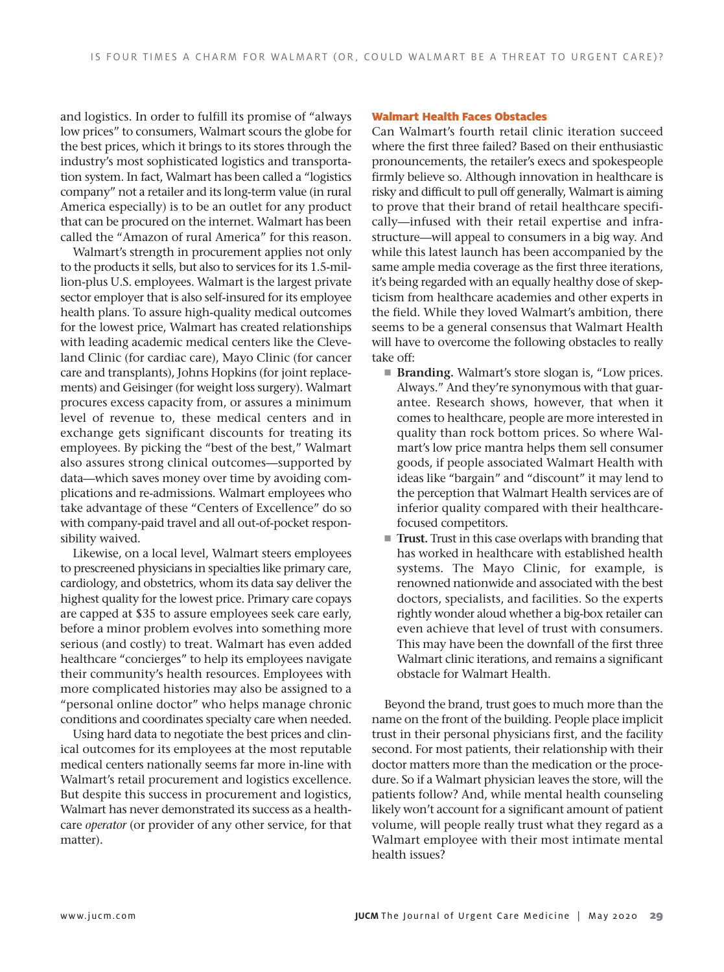and logistics. In order to fulfill its promise of "always low prices" to consumers, Walmart scours the globe for the best prices, which it brings to its stores through the industry's most sophisticated logistics and transportation system. In fact, Walmart has been called a "logistics company" not a retailer and its long-term value (in rural America especially) is to be an outlet for any product that can be procured on the internet. Walmart has been called the "Amazon of rural America" for this reason.

Walmart's strength in procurement applies not only to the products it sells, but also to services for its 1.5-million-plus U.S. employees. Walmart is the largest private sector employer that is also self-insured for its employee health plans. To assure high-quality medical outcomes for the lowest price, Walmart has created relationships with leading academic medical centers like the Cleveland Clinic (for cardiac care), Mayo Clinic (for cancer care and transplants), Johns Hopkins (for joint replacements) and Geisinger (for weight loss surgery). Walmart procures excess capacity from, or assures a minimum level of revenue to, these medical centers and in exchange gets significant discounts for treating its employees. By picking the "best of the best," Walmart also assures strong clinical outcomes—supported by data—which saves money over time by avoiding complications and re-admissions. Walmart employees who take advantage of these "Centers of Excellence" do so with company-paid travel and all out-of-pocket responsibility waived.

Likewise, on a local level, Walmart steers employees to prescreened physicians in specialties like primary care, cardiology, and obstetrics, whom its data say deliver the highest quality for the lowest price. Primary care copays are capped at \$35 to assure employees seek care early, before a minor problem evolves into something more serious (and costly) to treat. Walmart has even added healthcare "concierges" to help its employees navigate their community's health resources. Employees with more complicated histories may also be assigned to a "personal online doctor" who helps manage chronic conditions and coordinates specialty care when needed.

Using hard data to negotiate the best prices and clinical outcomes for its employees at the most reputable medical centers nationally seems far more in-line with Walmart's retail procurement and logistics excellence. But despite this success in procurement and logistics, Walmart has never demonstrated its success as a healthcare *operator* (or provider of any other service, for that matter).

#### Walmart Health Faces Obstacles

Can Walmart's fourth retail clinic iteration succeed where the first three failed? Based on their enthusiastic pronouncements, the retailer's execs and spokespeople firmly believe so. Although innovation in healthcare is risky and difficult to pull off generally, Walmart is aiming to prove that their brand of retail healthcare specifically—infused with their retail expertise and infrastructure—will appeal to consumers in a big way. And while this latest launch has been accompanied by the same ample media coverage as the first three iterations, it's being regarded with an equally healthy dose of skepticism from healthcare academies and other experts in the field. While they loved Walmart's ambition, there seems to be a general consensus that Walmart Health will have to overcome the following obstacles to really take off:

- ! **Branding.** Walmart's store slogan is, "Low prices. Always." And they're synonymous with that guarantee. Research shows, however, that when it comes to healthcare, people are more interested in quality than rock bottom prices. So where Walmart's low price mantra helps them sell consumer goods, if people associated Walmart Health with ideas like "bargain" and "discount" it may lend to the perception that Walmart Health services are of inferior quality compared with their healthcarefocused competitors.
- ! **Trust.** Trust in this case overlaps with branding that has worked in healthcare with established health systems. The Mayo Clinic, for example, is renowned nationwide and associated with the best doctors, specialists, and facilities. So the experts rightly wonder aloud whether a big-box retailer can even achieve that level of trust with consumers. This may have been the downfall of the first three Walmart clinic iterations, and remains a significant obstacle for Walmart Health.

Beyond the brand, trust goes to much more than the name on the front of the building. People place implicit trust in their personal physicians first, and the facility second. For most patients, their relationship with their doctor matters more than the medication or the procedure. So if a Walmart physician leaves the store, will the patients follow? And, while mental health counseling likely won't account for a significant amount of patient volume, will people really trust what they regard as a Walmart employee with their most intimate mental health issues?